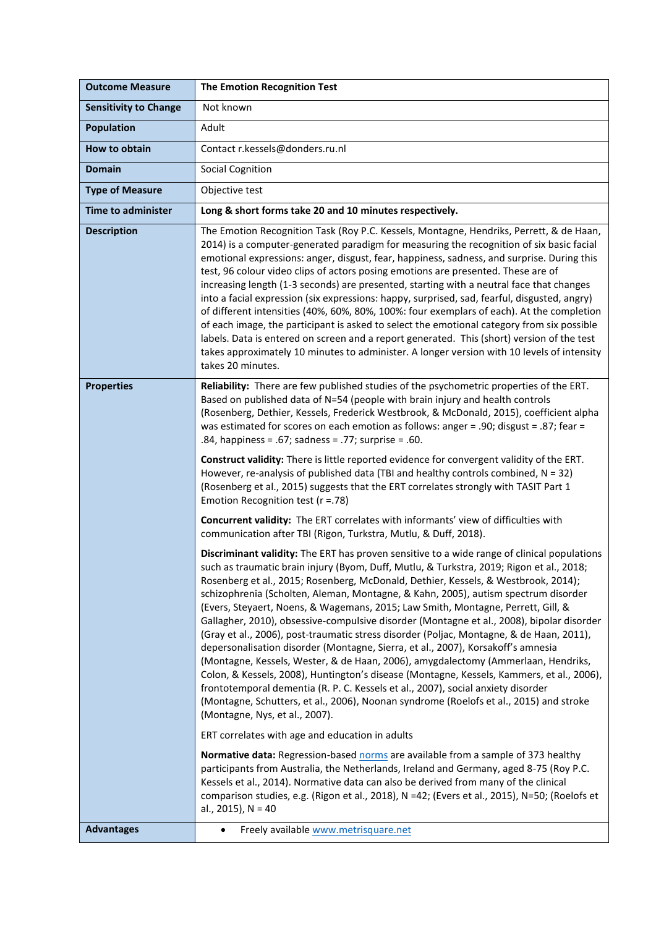| <b>Outcome Measure</b>       | <b>The Emotion Recognition Test</b>                                                                                                                                                                                                                                                                                                                                                                                                                                                                                                                                                                                                                                                                                                                                                                                                                                                                                                                                                                                                                                                                                                    |  |  |
|------------------------------|----------------------------------------------------------------------------------------------------------------------------------------------------------------------------------------------------------------------------------------------------------------------------------------------------------------------------------------------------------------------------------------------------------------------------------------------------------------------------------------------------------------------------------------------------------------------------------------------------------------------------------------------------------------------------------------------------------------------------------------------------------------------------------------------------------------------------------------------------------------------------------------------------------------------------------------------------------------------------------------------------------------------------------------------------------------------------------------------------------------------------------------|--|--|
| <b>Sensitivity to Change</b> | Not known                                                                                                                                                                                                                                                                                                                                                                                                                                                                                                                                                                                                                                                                                                                                                                                                                                                                                                                                                                                                                                                                                                                              |  |  |
| <b>Population</b>            | Adult                                                                                                                                                                                                                                                                                                                                                                                                                                                                                                                                                                                                                                                                                                                                                                                                                                                                                                                                                                                                                                                                                                                                  |  |  |
| How to obtain                | Contact r.kessels@donders.ru.nl                                                                                                                                                                                                                                                                                                                                                                                                                                                                                                                                                                                                                                                                                                                                                                                                                                                                                                                                                                                                                                                                                                        |  |  |
| <b>Domain</b>                | <b>Social Cognition</b>                                                                                                                                                                                                                                                                                                                                                                                                                                                                                                                                                                                                                                                                                                                                                                                                                                                                                                                                                                                                                                                                                                                |  |  |
| <b>Type of Measure</b>       | Objective test                                                                                                                                                                                                                                                                                                                                                                                                                                                                                                                                                                                                                                                                                                                                                                                                                                                                                                                                                                                                                                                                                                                         |  |  |
| <b>Time to administer</b>    | Long & short forms take 20 and 10 minutes respectively.                                                                                                                                                                                                                                                                                                                                                                                                                                                                                                                                                                                                                                                                                                                                                                                                                                                                                                                                                                                                                                                                                |  |  |
| <b>Description</b>           | The Emotion Recognition Task (Roy P.C. Kessels, Montagne, Hendriks, Perrett, & de Haan,<br>2014) is a computer-generated paradigm for measuring the recognition of six basic facial<br>emotional expressions: anger, disgust, fear, happiness, sadness, and surprise. During this<br>test, 96 colour video clips of actors posing emotions are presented. These are of<br>increasing length (1-3 seconds) are presented, starting with a neutral face that changes<br>into a facial expression (six expressions: happy, surprised, sad, fearful, disgusted, angry)<br>of different intensities (40%, 60%, 80%, 100%: four exemplars of each). At the completion<br>of each image, the participant is asked to select the emotional category from six possible<br>labels. Data is entered on screen and a report generated. This (short) version of the test<br>takes approximately 10 minutes to administer. A longer version with 10 levels of intensity<br>takes 20 minutes.                                                                                                                                                         |  |  |
| <b>Properties</b>            | Reliability: There are few published studies of the psychometric properties of the ERT.<br>Based on published data of N=54 (people with brain injury and health controls<br>(Rosenberg, Dethier, Kessels, Frederick Westbrook, & McDonald, 2015), coefficient alpha<br>was estimated for scores on each emotion as follows: anger = .90; disgust = .87; fear =<br>.84, happiness = .67; sadness = .77; surprise = .60.                                                                                                                                                                                                                                                                                                                                                                                                                                                                                                                                                                                                                                                                                                                 |  |  |
|                              | Construct validity: There is little reported evidence for convergent validity of the ERT.<br>However, re-analysis of published data (TBI and healthy controls combined, $N = 32$ )<br>(Rosenberg et al., 2015) suggests that the ERT correlates strongly with TASIT Part 1<br>Emotion Recognition test ( $r = .78$ )                                                                                                                                                                                                                                                                                                                                                                                                                                                                                                                                                                                                                                                                                                                                                                                                                   |  |  |
|                              | Concurrent validity: The ERT correlates with informants' view of difficulties with<br>communication after TBI (Rigon, Turkstra, Mutlu, & Duff, 2018).                                                                                                                                                                                                                                                                                                                                                                                                                                                                                                                                                                                                                                                                                                                                                                                                                                                                                                                                                                                  |  |  |
|                              | Discriminant validity: The ERT has proven sensitive to a wide range of clinical populations<br>such as traumatic brain injury (Byom, Duff, Mutlu, & Turkstra, 2019; Rigon et al., 2018;<br>Rosenberg et al., 2015; Rosenberg, McDonald, Dethier, Kessels, & Westbrook, 2014);<br>schizophrenia (Scholten, Aleman, Montagne, & Kahn, 2005), autism spectrum disorder<br>(Evers, Steyaert, Noens, & Wagemans, 2015; Law Smith, Montagne, Perrett, Gill, &<br>Gallagher, 2010), obsessive-compulsive disorder (Montagne et al., 2008), bipolar disorder<br>(Gray et al., 2006), post-traumatic stress disorder (Poljac, Montagne, & de Haan, 2011),<br>depersonalisation disorder (Montagne, Sierra, et al., 2007), Korsakoff's amnesia<br>(Montagne, Kessels, Wester, & de Haan, 2006), amygdalectomy (Ammerlaan, Hendriks,<br>Colon, & Kessels, 2008), Huntington's disease (Montagne, Kessels, Kammers, et al., 2006),<br>frontotemporal dementia (R. P. C. Kessels et al., 2007), social anxiety disorder<br>(Montagne, Schutters, et al., 2006), Noonan syndrome (Roelofs et al., 2015) and stroke<br>(Montagne, Nys, et al., 2007). |  |  |
|                              | ERT correlates with age and education in adults                                                                                                                                                                                                                                                                                                                                                                                                                                                                                                                                                                                                                                                                                                                                                                                                                                                                                                                                                                                                                                                                                        |  |  |
|                              | Normative data: Regression-based norms are available from a sample of 373 healthy<br>participants from Australia, the Netherlands, Ireland and Germany, aged 8-75 (Roy P.C.<br>Kessels et al., 2014). Normative data can also be derived from many of the clinical<br>comparison studies, e.g. (Rigon et al., 2018), N =42; (Evers et al., 2015), N=50; (Roelofs et<br>al., 2015), N = 40                                                                                                                                                                                                                                                                                                                                                                                                                                                                                                                                                                                                                                                                                                                                              |  |  |
| <b>Advantages</b>            | Freely available www.metrisquare.net<br>$\bullet$                                                                                                                                                                                                                                                                                                                                                                                                                                                                                                                                                                                                                                                                                                                                                                                                                                                                                                                                                                                                                                                                                      |  |  |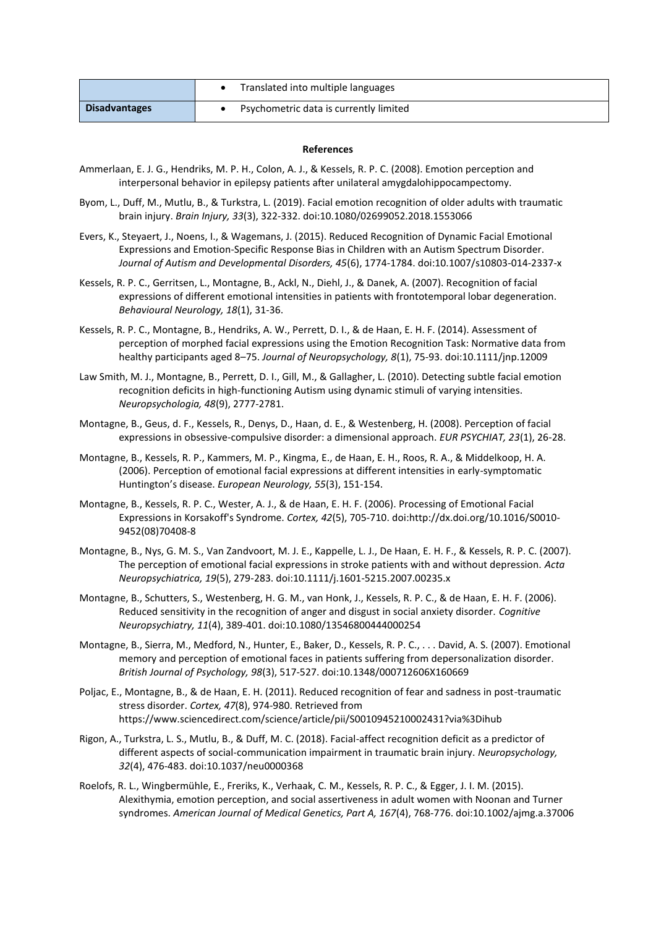|                      | Translated into multiple languages     |
|----------------------|----------------------------------------|
| <b>Disadvantages</b> | Psychometric data is currently limited |

## **References**

- Ammerlaan, E. J. G., Hendriks, M. P. H., Colon, A. J., & Kessels, R. P. C. (2008). Emotion perception and interpersonal behavior in epilepsy patients after unilateral amygdalohippocampectomy.
- Byom, L., Duff, M., Mutlu, B., & Turkstra, L. (2019). Facial emotion recognition of older adults with traumatic brain injury. *Brain Injury, 33*(3), 322-332. doi:10.1080/02699052.2018.1553066
- Evers, K., Steyaert, J., Noens, I., & Wagemans, J. (2015). Reduced Recognition of Dynamic Facial Emotional Expressions and Emotion-Specific Response Bias in Children with an Autism Spectrum Disorder. *Journal of Autism and Developmental Disorders, 45*(6), 1774-1784. doi:10.1007/s10803-014-2337-x
- Kessels, R. P. C., Gerritsen, L., Montagne, B., Ackl, N., Diehl, J., & Danek, A. (2007). Recognition of facial expressions of different emotional intensities in patients with frontotemporal lobar degeneration. *Behavioural Neurology, 18*(1), 31-36.
- Kessels, R. P. C., Montagne, B., Hendriks, A. W., Perrett, D. I., & de Haan, E. H. F. (2014). Assessment of perception of morphed facial expressions using the Emotion Recognition Task: Normative data from healthy participants aged 8–75. *Journal of Neuropsychology, 8*(1), 75-93. doi:10.1111/jnp.12009
- Law Smith, M. J., Montagne, B., Perrett, D. I., Gill, M., & Gallagher, L. (2010). Detecting subtle facial emotion recognition deficits in high-functioning Autism using dynamic stimuli of varying intensities. *Neuropsychologia, 48*(9), 2777-2781.
- Montagne, B., Geus, d. F., Kessels, R., Denys, D., Haan, d. E., & Westenberg, H. (2008). Perception of facial expressions in obsessive-compulsive disorder: a dimensional approach. *EUR PSYCHIAT, 23*(1), 26-28.
- Montagne, B., Kessels, R. P., Kammers, M. P., Kingma, E., de Haan, E. H., Roos, R. A., & Middelkoop, H. A. (2006). Perception of emotional facial expressions at different intensities in early-symptomatic Huntington's disease. *European Neurology, 55*(3), 151-154.
- Montagne, B., Kessels, R. P. C., Wester, A. J., & de Haan, E. H. F. (2006). Processing of Emotional Facial Expressions in Korsakoff's Syndrome. *Cortex, 42*(5), 705-710. doi:http://dx.doi.org/10.1016/S0010- 9452(08)70408-8
- Montagne, B., Nys, G. M. S., Van Zandvoort, M. J. E., Kappelle, L. J., De Haan, E. H. F., & Kessels, R. P. C. (2007). The perception of emotional facial expressions in stroke patients with and without depression. *Acta Neuropsychiatrica, 19*(5), 279-283. doi:10.1111/j.1601-5215.2007.00235.x
- Montagne, B., Schutters, S., Westenberg, H. G. M., van Honk, J., Kessels, R. P. C., & de Haan, E. H. F. (2006). Reduced sensitivity in the recognition of anger and disgust in social anxiety disorder. *Cognitive Neuropsychiatry, 11*(4), 389-401. doi:10.1080/13546800444000254
- Montagne, B., Sierra, M., Medford, N., Hunter, E., Baker, D., Kessels, R. P. C., . . . David, A. S. (2007). Emotional memory and perception of emotional faces in patients suffering from depersonalization disorder. *British Journal of Psychology, 98*(3), 517-527. doi:10.1348/000712606X160669
- Poljac, E., Montagne, B., & de Haan, E. H. (2011). Reduced recognition of fear and sadness in post-traumatic stress disorder. *Cortex, 47*(8), 974-980. Retrieved from https://www.sciencedirect.com/science/article/pii/S0010945210002431?via%3Dihub
- Rigon, A., Turkstra, L. S., Mutlu, B., & Duff, M. C. (2018). Facial-affect recognition deficit as a predictor of different aspects of social-communication impairment in traumatic brain injury. *Neuropsychology, 32*(4), 476-483. doi:10.1037/neu0000368
- Roelofs, R. L., Wingbermühle, E., Freriks, K., Verhaak, C. M., Kessels, R. P. C., & Egger, J. I. M. (2015). Alexithymia, emotion perception, and social assertiveness in adult women with Noonan and Turner syndromes. *American Journal of Medical Genetics, Part A, 167*(4), 768-776. doi:10.1002/ajmg.a.37006